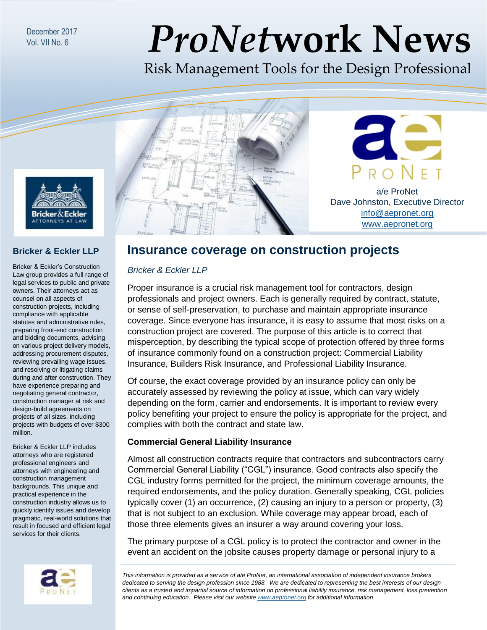December 2017 Vol. VII No. 6

# *ProNet***work News**

Risk Management Tools for the Design Professional

a/e ProNet Dave Johnston, Executive Director [info@aepronet.org](mailto:info@aepronet.org) [www.aepronet.org](http://www.aepronet.org/)



### **Bricker & Eckler LLP**

Bricker & Eckler's Construction Law group provides a full range of legal services to public and private owners. Their attorneys act as counsel on all aspects of construction projects, including compliance with applicable statutes and administrative rules, preparing front-end construction and bidding documents, advising on various project delivery models, addressing procurement disputes, reviewing prevailing wage issues, and resolving or litigating claims during and after construction. They have experience preparing and negotiating general contractor, construction manager at risk and design-build agreements on projects of all sizes, including projects with budgets of over \$300 million.

Bricker & Eckler LLP includes attorneys who are registered professional engineers and attorneys with engineering and construction management backgrounds. This unique and practical experience in the construction industry allows us to quickly identify issues and develop pragmatic, real-world solutions that result in focused and efficient legal services for their clients.





 $R_{\text{max}}$   $\rightarrow$   $\frac{R_{\text{max}}}{R_{\text{max}}R_{\text{max}}}$ 

### *Bricker & Eckler LLP*

Proper insurance is a crucial risk management tool for contractors, design professionals and project owners. Each is generally required by contract, statute, or sense of self-preservation, to purchase and maintain appropriate insurance coverage. Since everyone has insurance, it is easy to assume that most risks on a construction project are covered. The purpose of this article is to correct that misperception, by describing the typical scope of protection offered by three forms of insurance commonly found on a construction project: Commercial Liability Insurance, Builders Risk Insurance, and Professional Liability Insurance.

Of course, the exact coverage provided by an insurance policy can only be accurately assessed by reviewing the policy at issue, which can vary widely depending on the form, carrier and endorsements. It is important to review every policy benefiting your project to ensure the policy is appropriate for the project, and complies with both the contract and state law.

### **Commercial General Liability Insurance**

Almost all construction contracts require that contractors and subcontractors carry Commercial General Liability ("CGL") insurance. Good contracts also specify the CGL industry forms permitted for the project, the minimum coverage amounts, the required endorsements, and the policy duration. Generally speaking, CGL policies typically cover (1) an occurrence, (2) causing an injury to a person or property, (3) that is not subject to an exclusion. While coverage may appear broad, each of those three elements gives an insurer a way around covering your loss.

The primary purpose of a CGL policy is to protect the contractor and owner in the event an accident on the jobsite causes property damage or personal injury to a

*This information is provided as a service of a/e ProNet, an international association of independent insurance brokers dedicated to serving the design profession since 1988. We are dedicated to representing the best interests of our design clients as a trusted and impartial source of information on professional liability insurance, risk management, loss prevention and continuing education. Please visit our website [www.aepronet.org](http://www.aepronet.org/) for additional information*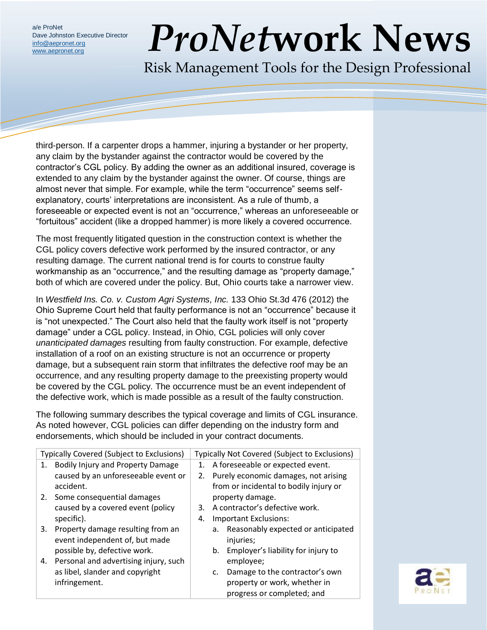### *ProNet***work News**

Risk Management Tools for the Design Professional

third-person. If a carpenter drops a hammer, injuring a bystander or her property, any claim by the bystander against the contractor would be covered by the contractor's CGL policy. By adding the owner as an additional insured, coverage is extended to any claim by the bystander against the owner. Of course, things are almost never that simple. For example, while the term "occurrence" seems selfexplanatory, courts' interpretations are inconsistent. As a rule of thumb, a foreseeable or expected event is not an "occurrence," whereas an unforeseeable or "fortuitous" accident (like a dropped hammer) is more likely a covered occurrence.

The most frequently litigated question in the construction context is whether the CGL policy covers defective work performed by the insured contractor, or any resulting damage. The current national trend is for courts to construe faulty workmanship as an "occurrence," and the resulting damage as "property damage," both of which are covered under the policy. But, Ohio courts take a narrower view.

In *Westfield Ins. Co. v. Custom Agri Systems, Inc.* 133 Ohio St.3d 476 (2012) the Ohio Supreme Court held that faulty performance is not an "occurrence" because it is "not unexpected." The Court also held that the faulty work itself is not "property damage" under a CGL policy. Instead, in Ohio, CGL policies will only cover *unanticipated damages* resulting from faulty construction. For example, defective installation of a roof on an existing structure is not an occurrence or property damage, but a subsequent rain storm that infiltrates the defective roof may be an occurrence, and any resulting property damage to the preexisting property would be covered by the CGL policy. The occurrence must be an event independent of the defective work, which is made possible as a result of the faulty construction.

The following summary describes the typical coverage and limits of CGL insurance. As noted however, CGL policies can differ depending on the industry form and endorsements, which should be included in your contract documents.

| <b>Typically Covered (Subject to Exclusions)</b> |                                          | Typically Not Covered (Subject to Exclusions) |                                                  |  |
|--------------------------------------------------|------------------------------------------|-----------------------------------------------|--------------------------------------------------|--|
| 1.                                               | <b>Bodily Injury and Property Damage</b> | A foreseeable or expected event.<br>1.        |                                                  |  |
|                                                  | caused by an unforeseeable event or      | 2.                                            | Purely economic damages, not arising             |  |
|                                                  | accident.                                | from or incidental to bodily injury or        |                                                  |  |
| 2.                                               | Some consequential damages               | property damage.                              |                                                  |  |
|                                                  | caused by a covered event (policy        | 3.                                            | A contractor's defective work.                   |  |
|                                                  | specific).                               | Important Exclusions:<br>4.                   |                                                  |  |
| 3.                                               | Property damage resulting from an        |                                               | Reasonably expected or anticipated<br>а.         |  |
|                                                  | event independent of, but made           |                                               | injuries;                                        |  |
|                                                  | possible by, defective work.             |                                               | Employer's liability for injury to<br>b.         |  |
| 4.                                               | Personal and advertising injury, such    |                                               | employee;                                        |  |
|                                                  | as libel, slander and copyright          |                                               | Damage to the contractor's own<br>$\mathsf{C}$ . |  |
|                                                  | infringement.                            |                                               | property or work, whether in                     |  |
|                                                  |                                          |                                               | progress or completed; and                       |  |

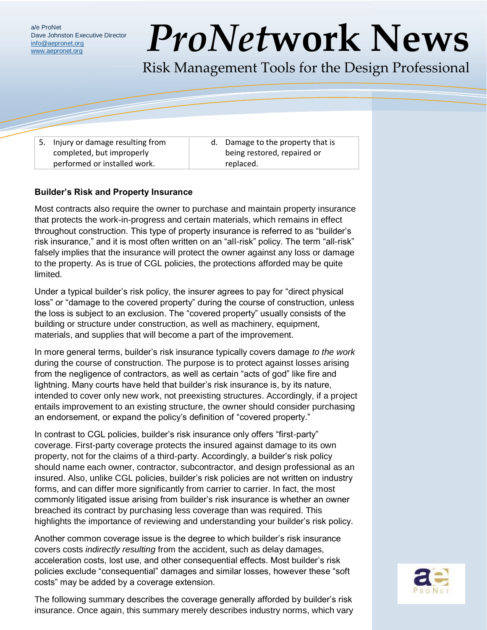## *ProNet***work News**

Risk Management Tools for the Design Professional

| 5. Injury or damage resulting from |
|------------------------------------|
| completed, but improperly          |
| performed or installed work.       |

ing from **d.** Damage to the property that is being restored, repaired or replaced.

### **Builder's Risk and Property Insurance**

Most contracts also require the owner to purchase and maintain property insurance that protects the work-in-progress and certain materials, which remains in effect throughout construction. This type of property insurance is referred to as "builder's risk insurance," and it is most often written on an "all-risk" policy. The term "all-risk" falsely implies that the insurance will protect the owner against any loss or damage to the property. As is true of CGL policies, the protections afforded may be quite limited.

Under a typical builder's risk policy, the insurer agrees to pay for "direct physical loss" or "damage to the covered property" during the course of construction, unless the loss is subject to an exclusion. The "covered property" usually consists of the building or structure under construction, as well as machinery, equipment, materials, and supplies that will become a part of the improvement.

In more general terms, builder's risk insurance typically covers damage *to the work* during the course of construction. The purpose is to protect against losses arising from the negligence of contractors, as well as certain "acts of god" like fire and lightning. Many courts have held that builder's risk insurance is, by its nature, intended to cover only new work, not preexisting structures. Accordingly, if a project entails improvement to an existing structure, the owner should consider purchasing an endorsement, or expand the policy's definition of "covered property."

In contrast to CGL policies, builder's risk insurance only offers "first-party" coverage. First-party coverage protects the insured against damage to its own property, not for the claims of a third-party. Accordingly, a builder's risk policy should name each owner, contractor, subcontractor, and design professional as an insured. Also, unlike CGL policies, builder's risk policies are not written on industry forms, and can differ more significantly from carrier to carrier. In fact, the most commonly litigated issue arising from builder's risk insurance is whether an owner breached its contract by purchasing less coverage than was required. This highlights the importance of reviewing and understanding your builder's risk policy.

Another common coverage issue is the degree to which builder's risk insurance covers costs *indirectly resulting* from the accident, such as delay damages, acceleration costs, lost use, and other consequential effects. Most builder's risk policies exclude "consequential" damages and similar losses, however these "soft costs" may be added by a coverage extension.

The following summary describes the coverage generally afforded by builder's risk insurance. Once again, this summary merely describes industry norms, which vary

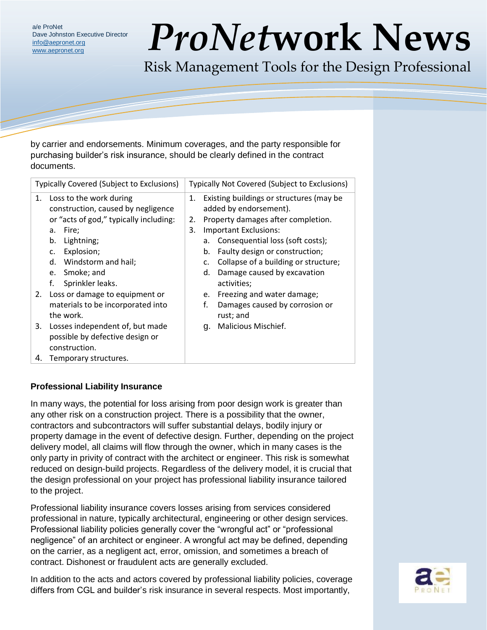## *ProNet***work News**

Risk Management Tools for the Design Professional

by carrier and endorsements. Minimum coverages, and the party responsible for purchasing builder's risk insurance, should be clearly defined in the contract documents.

| Typically Covered (Subject to Exclusions) |                                                                                                                                                                                                                                                 | Typically Not Covered (Subject to Exclusions) |                                                                                                                                                                                                                                                                                                                          |  |
|-------------------------------------------|-------------------------------------------------------------------------------------------------------------------------------------------------------------------------------------------------------------------------------------------------|-----------------------------------------------|--------------------------------------------------------------------------------------------------------------------------------------------------------------------------------------------------------------------------------------------------------------------------------------------------------------------------|--|
| 1.                                        | Loss to the work during<br>construction, caused by negligence<br>or "acts of god," typically including:<br>Fire;<br>a.<br>b.<br>Lightning;<br>Explosion;<br>$\mathsf{C}$ .<br>d. Windstorm and hail;<br>e. Smoke; and<br>Sprinkler leaks.<br>f. | 2.<br>3.                                      | 1. Existing buildings or structures (may be<br>added by endorsement).<br>Property damages after completion.<br>Important Exclusions:<br>Consequential loss (soft costs);<br>а.<br>Faulty design or construction;<br>b.<br>Collapse of a building or structure;<br>C.<br>Damage caused by excavation<br>d.<br>activities; |  |
| 2.<br>3.                                  | Loss or damage to equipment or<br>materials to be incorporated into<br>the work.<br>Losses independent of, but made<br>possible by defective design or                                                                                          |                                               | Freezing and water damage;<br>e.<br>f.<br>Damages caused by corrosion or<br>rust; and<br>Malicious Mischief.<br>a.                                                                                                                                                                                                       |  |
| 4.                                        | construction.<br>Temporary structures.                                                                                                                                                                                                          |                                               |                                                                                                                                                                                                                                                                                                                          |  |

### **Professional Liability Insurance**

In many ways, the potential for loss arising from poor design work is greater than any other risk on a construction project. There is a possibility that the owner, contractors and subcontractors will suffer substantial delays, bodily injury or property damage in the event of defective design. Further, depending on the project delivery model, all claims will flow through the owner, which in many cases is the only party in privity of contract with the architect or engineer. This risk is somewhat reduced on design-build projects. Regardless of the delivery model, it is crucial that the design professional on your project has professional liability insurance tailored to the project.

Professional liability insurance covers losses arising from services considered professional in nature, typically architectural, engineering or other design services. Professional liability policies generally cover the "wrongful act" or "professional negligence" of an architect or engineer. A wrongful act may be defined, depending on the carrier, as a negligent act, error, omission, and sometimes a breach of contract. Dishonest or fraudulent acts are generally excluded.

In addition to the acts and actors covered by professional liability policies, coverage differs from CGL and builder's risk insurance in several respects. Most importantly,

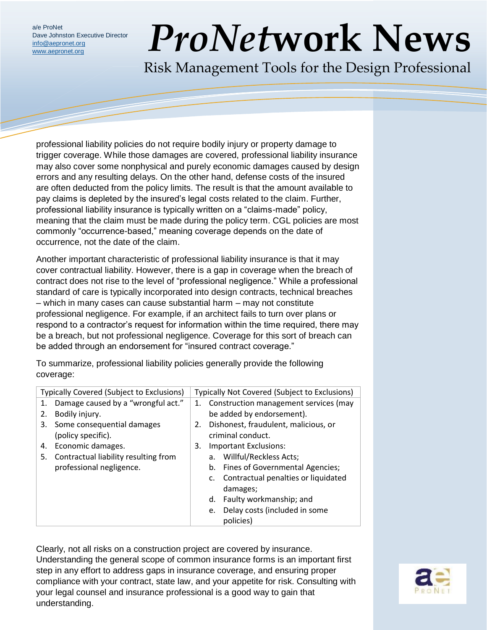## *ProNet***work News**

Risk Management Tools for the Design Professional

professional liability policies do not require bodily injury or property damage to trigger coverage. While those damages are covered, professional liability insurance may also cover some nonphysical and purely economic damages caused by design errors and any resulting delays. On the other hand, defense costs of the insured are often deducted from the policy limits. The result is that the amount available to pay claims is depleted by the insured's legal costs related to the claim. Further, professional liability insurance is typically written on a "claims-made" policy, meaning that the claim must be made during the policy term. CGL policies are most commonly "occurrence-based," meaning coverage depends on the date of occurrence, not the date of the claim.

Another important characteristic of professional liability insurance is that it may cover contractual liability. However, there is a gap in coverage when the breach of contract does not rise to the level of "professional negligence." While a professional standard of care is typically incorporated into design contracts, technical breaches – which in many cases can cause substantial harm – may not constitute professional negligence. For example, if an architect fails to turn over plans or respond to a contractor's request for information within the time required, there may be a breach, but not professional negligence. Coverage for this sort of breach can be added through an endorsement for "insured contract coverage."

To summarize, professional liability policies generally provide the following coverage:

| <b>Typically Covered (Subject to Exclusions)</b> |                                      | Typically Not Covered (Subject to Exclusions) |                                              |  |
|--------------------------------------------------|--------------------------------------|-----------------------------------------------|----------------------------------------------|--|
| 1.                                               | Damage caused by a "wrongful act."   | 1. Construction management services (may      |                                              |  |
| 2.                                               | Bodily injury.                       | be added by endorsement).                     |                                              |  |
| 3.                                               | Some consequential damages           | Dishonest, fraudulent, malicious, or<br>2.    |                                              |  |
|                                                  | (policy specific).                   | criminal conduct.                             |                                              |  |
| 4.                                               | Economic damages.                    | Important Exclusions:<br>3.                   |                                              |  |
| 5.                                               | Contractual liability resulting from |                                               | Willful/Reckless Acts;<br>a.                 |  |
|                                                  | professional negligence.             |                                               | <b>Fines of Governmental Agencies;</b><br>b. |  |
|                                                  |                                      |                                               | c. Contractual penalties or liquidated       |  |
|                                                  |                                      |                                               | damages;                                     |  |
|                                                  |                                      |                                               | Faulty workmanship; and<br>d.                |  |
|                                                  |                                      |                                               | Delay costs (included in some<br>e.          |  |
|                                                  |                                      |                                               | policies)                                    |  |

Clearly, not all risks on a construction project are covered by insurance. Understanding the general scope of common insurance forms is an important first step in any effort to address gaps in insurance coverage, and ensuring proper compliance with your contract, state law, and your appetite for risk. Consulting with your legal counsel and insurance professional is a good way to gain that understanding.